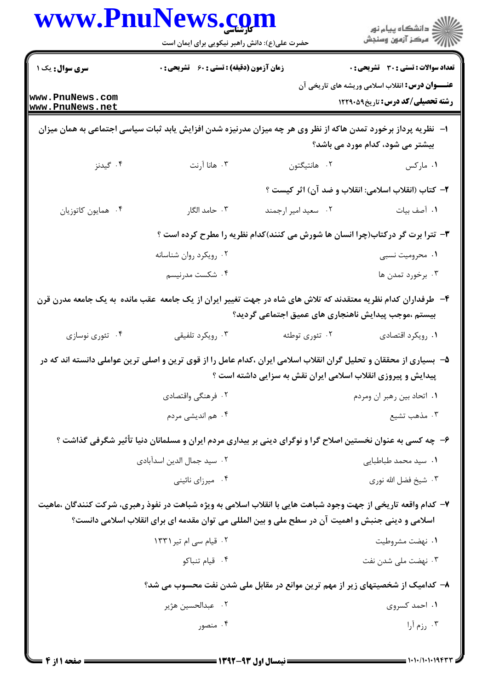|                                    | www.PnuNews.com<br>حضرت علی(ع): دانش راهبر نیکویی برای ایمان است                                                                                                                                                  |                                                              | ڪ دانشڪاه پيام نور<br>//> مرڪز آزمون وسنجش                                                        |
|------------------------------------|-------------------------------------------------------------------------------------------------------------------------------------------------------------------------------------------------------------------|--------------------------------------------------------------|---------------------------------------------------------------------------------------------------|
| سری سوال: یک ۱                     | <b>زمان آزمون (دقیقه) : تستی : 60 ٪ تشریحی : 0</b>                                                                                                                                                                |                                                              | <b>تعداد سوالات : تستی : 30 ٪ تشریحی : 0</b>                                                      |
| www.PnuNews.com<br>www.PnuNews.net |                                                                                                                                                                                                                   |                                                              | <b>عنـــوان درس:</b> انقلاب اسلامی وریشه های تاریخی آن<br><b>رشته تحصیلی/کد درس:</b> تاریخ1۲۲۹۰۵۹ |
|                                    | ا– آنظریه پرداز برخورد تمدن هاکه از نظر وی هر چه میزان مدرنیزه شدن افزایش یابد ثبات سیاسی اجتماعی به همان میزان                                                                                                   |                                                              | بیشتر می شود، کدام مورد می باشد؟                                                                  |
| ۰۴ گیدنز                           | ۰۳ هانا آرنت                                                                                                                                                                                                      | ۰۲ هانتيگتون                                                 | ۰۱ مارکس                                                                                          |
|                                    |                                                                                                                                                                                                                   | ۲- کتاب (انقلاب اسلامی: انقلاب و ضد آن) اثر کیست ؟           |                                                                                                   |
| ۰۴ همايون كاتوزيان                 | ۰۳ حامد الگار                                                                                                                                                                                                     | ۰۲ سعید امیر ارجمند                                          | ٠١. آصف بيات                                                                                      |
|                                    | ۳- تترا برت گر درکتاب(چرا انسان ها شورش می کنند)کدام نظریه را مطرح کرده است ؟                                                                                                                                     |                                                              |                                                                                                   |
|                                    | ۰۲ رویکرد روان شناسانه                                                                                                                                                                                            |                                                              | ۰۱ محرومیت نسبی                                                                                   |
|                                    | ۰۴ شکست مدرنیسم                                                                                                                                                                                                   |                                                              | ۰۳ برخورد تمدن ها                                                                                 |
|                                    | ۴- طرفداران کدام نظریه معتقدند که تلاش های شاه در جهت تغییر ایران از یک جامعه عقب مانده به یک جامعه مدرن قرن                                                                                                      | بیستم ،موجب پیدایش ناهنجاری های عمیق اجتماعی گردید؟          |                                                                                                   |
| ۰۴ تئوري نوسازي                    | ۰۳ رویکرد تلفیقی                                                                                                                                                                                                  | ۰۲ تئوري توطئه                                               | ٠١. رويكرد اقتصادي                                                                                |
|                                    | ۵– بسیاری از محققان و تحلیل گران انقلاب اسلامی ایران ،کدام عامل را از قوی ترین و اصلی ترین عواملی دانسته اند که در                                                                                                | پیدایش و پیروزی انقلاب اسلامی ایران نقش به سزایی داشته است ؟ |                                                                                                   |
|                                    | ۰۲ فرهنگی واقتصادی                                                                                                                                                                                                |                                                              | ۰۱ اتحاد بین رهبر ان ومردم                                                                        |
|                                    | ۰۴ هم اندیشی مردم                                                                                                                                                                                                 |                                                              | ۰۳ مذهب تشيع                                                                                      |
|                                    | ۶- چه کسی به عنوان نخستین اصلاح گرا و نوگرای دینی بر بیداری مردم ایران و مسلمانان دنیا تأثیر شگرفی گذاشت ؟                                                                                                        |                                                              |                                                                                                   |
|                                    | ٠٢ سيد جمال الدين اسدآبادى                                                                                                                                                                                        |                                                              | ۰۱ سید محمد طباطبایی                                                                              |
|                                    | ۰۴ میرزای نائینی                                                                                                                                                                                                  |                                                              | ۰۳ شیخ فضل الله نوری                                                                              |
|                                    | ۷– کدام واقعه تاریخی از جهت وجود شباهت هایی با انقلاب اسلامی به ویژه شباهت در نفوذ رهبری، شرکت کنندگان ،ماهیت<br>اسلامی و دینی جنبش و اهمیت آن در سطح ملی و بین المللی می توان مقدمه ای برای انقلاب اسلامی دانست؟ |                                                              |                                                                                                   |
|                                    | ۰۲ قیام سی ام تیر ۱۳۳۱                                                                                                                                                                                            |                                                              | ۰۱ نهضت مشروطيت                                                                                   |
|                                    | ۰۴ قيام تنباكو                                                                                                                                                                                                    |                                                              | ۰۳ نهضت ملی شدن نفت                                                                               |
|                                    | ۸– کدامیک از شخصیتهای زیر از مهم ترین موانع در مقابل ملی شدن نفت محسوب می شد؟                                                                                                                                     |                                                              |                                                                                                   |
|                                    | ٢. عبدالحسين هژير                                                                                                                                                                                                 |                                                              | ۰۱ احمد کسروی                                                                                     |
|                                    | ۰۴ منصور                                                                                                                                                                                                          |                                                              | ۰۳ رزم آرا                                                                                        |
|                                    |                                                                                                                                                                                                                   |                                                              |                                                                                                   |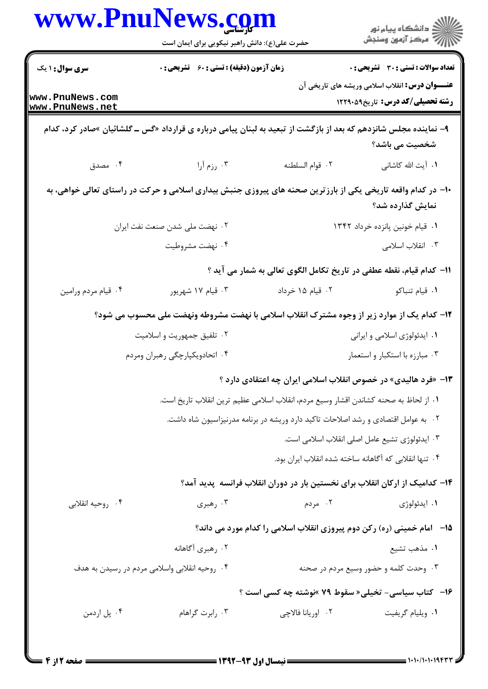|                                    | www.PnuNews.com<br>حضرت علی(ع): دانش راهبر نیکویی برای ایمان است                                                  |                                                                                      | ڪ دانشڪاه پيام نور<br>7- مرڪز آزمون وسنڊش                                                         |
|------------------------------------|-------------------------------------------------------------------------------------------------------------------|--------------------------------------------------------------------------------------|---------------------------------------------------------------------------------------------------|
| <b>سری سوال : ۱ یک</b>             | <b>زمان آزمون (دقیقه) : تستی : 60 ٪ تشریحی : 0</b>                                                                |                                                                                      | تعداد سوالات : تستي : 30 ٪ تشريحي : 0                                                             |
| www.PnuNews.com<br>www.PnuNews.net |                                                                                                                   |                                                                                      | <b>عنـــوان درس:</b> انقلاب اسلامی وریشه های تاریخی آن<br><b>رشته تحصیلی/کد درس:</b> تاریخ1۲۲۹۰۵۹ |
|                                    | ۹- نماینده مجلس شانزدهم که بعد از بازگشت از تبعید به لبنان پیامی درباره ی قرارداد «گس ــ گلشائیان »صادر کرد، کدام |                                                                                      | شخصیت می باشد؟                                                                                    |
| ۰۴ مصدق                            | ۰۳ رزم آرا                                                                                                        | ٠٢ قوام السلطنه                                                                      | ۰۱ آیت الله کاشانی                                                                                |
|                                    | ∙۱− در کدام واقعه تاریخی یکی از بارزترین صحنه های پیروزی جنبش بیداری اسلامی و حرکت در راستای تعالی خواهی، به      |                                                                                      | نمایش گذارده شد؟                                                                                  |
| ۰۲ نهضت ملی شدن صنعت نفت ایران     |                                                                                                                   |                                                                                      | ٠١ قيام خونين پانزده خرداد ١٣۴٢                                                                   |
|                                    | ۰۴ نهضت مشروطيت                                                                                                   |                                                                                      | ۰۳ انقلاب اسلامی                                                                                  |
|                                    |                                                                                                                   | 11- كدام قيام، نقطه عطفي در تاريخ تكامل الگوي تعالى به شمار مي آيد ؟                 |                                                                                                   |
| ۰۴ قیام مردم ورامین                | ۰۳ قیام ۱۷ شهریور                                                                                                 | ۰۲ قیام ۱۵ خرداد                                                                     | ۰۱ قیام تنباکو                                                                                    |
|                                    | ۱۲– کدام یک از موارد زیر از وجوه مشترک انقلاب اسلامی با نهضت مشروطه ونهضت ملی محسوب می شود؟                       |                                                                                      |                                                                                                   |
|                                    | ۰۲ تلفیق جمهوریت و اسلامیت                                                                                        |                                                                                      | ۰۱ ایدئولوژی اسلامی و ایرانی                                                                      |
|                                    | ۰۴ اتحادویکپارچگی رهبران ومردم                                                                                    |                                                                                      | ۰۳ مبارزه با استكبار و استعمار                                                                    |
|                                    |                                                                                                                   | ۱۳- «فرد هالیدی» در خصوص انقلاب اسلامی ایران چه اعتقادی دارد ؟                       |                                                                                                   |
|                                    |                                                                                                                   | ١. از لحاظ به صحنه كشاندن اقشار وسيع مردم، انقلاب اسلامي عظيم ترين انقلاب تاريخ است. |                                                                                                   |
|                                    |                                                                                                                   | ۰۲ به عوامل اقتصادی و رشد اصلاحات تاکید دارد وریشه در برنامه مدرنیزاسیون شاه داشت.   |                                                                                                   |
|                                    |                                                                                                                   |                                                                                      | ٠٣ ايدئولوژي تشيع عامل اصلي انقلاب اسلامي است.                                                    |
|                                    |                                                                                                                   | ۰۴ تنها انقلابی که آگاهانه ساخته شده انقلاب ایران بود.                               |                                                                                                   |
|                                    |                                                                                                                   | ۱۴– کدامیک از ارکان انقلاب برای نخستین بار در دوران انقلاب فرانسه پدید آمد؟          |                                                                                                   |
| ۰۴ روحيه انقلابي                   | ۰۳ رهبری                                                                                                          | ۰۲ مردم                                                                              | ۰۱ ايدئولوژي                                                                                      |
|                                    |                                                                                                                   | 1۵–۔ امام خمینی (رہ) رکن دوم پیروزی انقلاب اسلامی را کدام مورد می داند؟              |                                                                                                   |
|                                    | ۰۲ رهبری آگاهانه                                                                                                  |                                                                                      | ٠١ مذهب تشيع                                                                                      |
|                                    | ۰۴ روحیه انقلابی واسلامی مردم در رسیدن به هدف                                                                     |                                                                                      | ۰۳ وحدت کلمه و حضور وسیع مردم در صحنه                                                             |
|                                    |                                                                                                                   | ۱۶- کتاب سیاسی- تخیلی« سقوط ۷۹ »نوشته چه کسی است ؟                                   |                                                                                                   |
| ۰۴ پل اردمن                        | ۰۳ رابرت گراهام                                                                                                   | ٢. اوريانا فالاچي                                                                    | ٠١ ويليام گريفيت                                                                                  |
|                                    |                                                                                                                   |                                                                                      |                                                                                                   |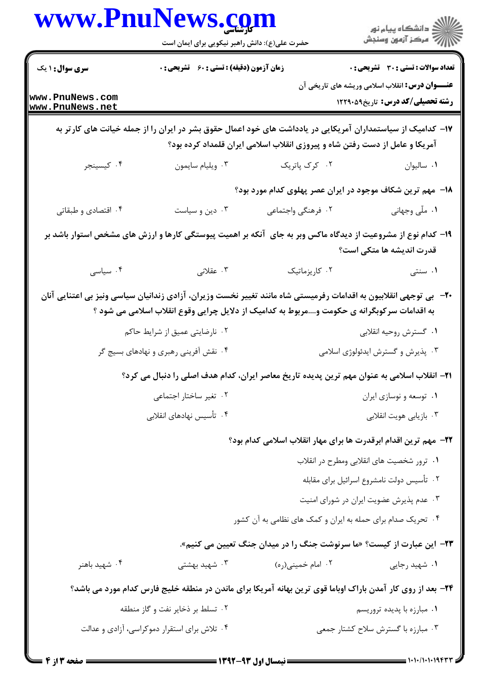|                                       | حضرت علی(ع): دانش راهبر نیکویی برای ایمان است | www.PnuNews.com                                                                                                                                                                                                 | ر دانشگاه پيام نور<br>ا∛ مرکز آزمون وسنجش                                                              |  |
|---------------------------------------|-----------------------------------------------|-----------------------------------------------------------------------------------------------------------------------------------------------------------------------------------------------------------------|--------------------------------------------------------------------------------------------------------|--|
|                                       |                                               |                                                                                                                                                                                                                 |                                                                                                        |  |
| <b>سری سوال : ۱ یک</b>                | زمان آزمون (دقیقه) : تستی : 60 ٪ تشریحی : 0   |                                                                                                                                                                                                                 | <b>تعداد سوالات : تستی : 30 ٪ تشریحی : 0</b><br><b>عنـــوان درس:</b> انقلاب اسلامی وریشه های تاریخی آن |  |
| www.PnuNews.com<br>www.PnuNews.net    |                                               |                                                                                                                                                                                                                 | <b>رشته تحصیلی/کد درس:</b> تاریخ1۲۲۹۰۵۹                                                                |  |
|                                       |                                               | ۱۷– کدامیک از سیاستمداران آمریکایی در یادداشت های خود اعمال حقوق بشر در ایران را از جمله خیانت های کارتر به<br>آمریکا و عامل از دست رفتن شاه و پیروزی انقلاب اسلامی ایران قلمداد کرده بود؟                      |                                                                                                        |  |
| ۰۴ كيسينجر                            | ۰۳ ویلیام سایمون                              | ۰۲ کرک پاتریک                                                                                                                                                                                                   | ٠١ ساليوان                                                                                             |  |
|                                       |                                               | ۱۸– مهم ترین شکاف موجود در ایران عصر پهلوی کدام مورد بود؟                                                                                                                                                       |                                                                                                        |  |
| ۰۴ اقتصادی و طبقاتی                   | ۰۳ دین و سیاست                                | ٢. فرهنگي واجتماعي                                                                                                                                                                                              | ۰۱ ملّی وجهانی                                                                                         |  |
|                                       |                                               | ۱۹– کدام نوع از مشروعیت از دیدگاه ماکس وبر به جای آنکه بر اهمیت پیوستگی کارها و ارزش های مشخص استوار باشد بر                                                                                                    | قدرت اندیشه ها متکی است؟                                                                               |  |
| ۰۴ سیاسی                              | ۰۳ عقلانی                                     | ۰۲ کاریزماتیک                                                                                                                                                                                                   | ۱. سنتی                                                                                                |  |
|                                       | ۰۲ نارضایتی عمیق از شرایط حاکم                | +۲-۔ بی توجهی انقلابیون به اقدامات رفرمیستی شاه مانند تغییر نخست وزیران، آزادی زندانیان سیاسی ونیز بی اعتنایی آنان<br>به اقدامات سرکوبگرانه ی حکومت ومربوط به کدامیک از دلایل چرایی وقوع انقلاب اسلامی می شود ؟ | ٠١ گسترش روحيه انقلابي                                                                                 |  |
| ۰۴ نقش آفرینی رهبری و نهادهای بسیج گر |                                               |                                                                                                                                                                                                                 | ۰۳ پذیرش و گسترش ایدئولوژی اسلامی                                                                      |  |
|                                       |                                               | ۳۱− انقلاب اسلامی به عنوان مهم ترین پدیده تاریخ معاصر ایران، کدام هدف اصلی را دنبال می کرد؟                                                                                                                     |                                                                                                        |  |
|                                       | ۰۲ تغیر ساختار اجتماعی                        |                                                                                                                                                                                                                 | ۰۱ توسعه و نوسازي ايران                                                                                |  |
| ۰۴ تأسیس نهادهای انقلابی              |                                               |                                                                                                                                                                                                                 | ۰۳ بازیابی هویت انقلابی                                                                                |  |
|                                       |                                               | <b>۲۲</b> – مهم ترین اقدام ابرقدرت ها برای مهار انقلاب اسلامی کدام بود؟                                                                                                                                         |                                                                                                        |  |
|                                       |                                               |                                                                                                                                                                                                                 | ٠١ ترور شخصيت هاى انقلابي ومطرح در انقلاب                                                              |  |
|                                       |                                               |                                                                                                                                                                                                                 | ۰۲ تأسیس دولت نامشروع اسرائیل برای مقابله                                                              |  |
|                                       |                                               |                                                                                                                                                                                                                 | ۰۳ عدم پذیرش عضویت ایران در شورای امنیت                                                                |  |
|                                       |                                               | ۰۴ تحریک صدام برای حمله به ایران و کمک های نظامی به آن کشور                                                                                                                                                     |                                                                                                        |  |
|                                       |                                               | <b>۲۳</b> - این عبارت از کیست؟ «ما سرنوشت جنگ را در میدان جنگ تعیین می کنیم».                                                                                                                                   |                                                                                                        |  |
| ۰۴ شهید باهنر                         | ۰۳ شهید بهشتی                                 | ۰۲ امام خمینی(ره)                                                                                                                                                                                               | ۰۱ شهید رجایی                                                                                          |  |
|                                       |                                               | ۲۴- بعد از روی کار آمدن باراک اوباما قوی ترین بهانه آمریکا برای ماندن در منطقه خلیج فارس کدام مورد می باشد؟                                                                                                     |                                                                                                        |  |
|                                       | ۰۲ تسلط بر ذخایر نفت و گاز منطقه              |                                                                                                                                                                                                                 | ۰۱ مبارزه با پدیده تروریسم                                                                             |  |
|                                       | ۰۴ تلاش برای استقرار دموکراسی، آزادی و عدالت  |                                                                                                                                                                                                                 | ۰۳ مبارزه با گسترش سلاح کشتار جمعی                                                                     |  |